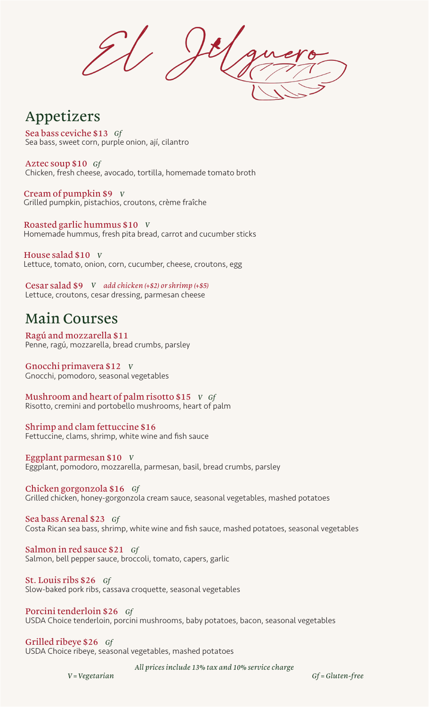# Appetizers

Sea bass, sweet corn, purple onion, ají, cilantro Sea bass ceviche \$13 *Gf*

Chicken, fresh cheese, avocado, tortilla, homemade tomato broth Aztec soup \$10 *Gf*

Grilled pumpkin, pistachios, croutons, crème fraîche Cream of pumpkin \$9 *V*

Homemade hummus, fresh pita bread, carrot and cucumber sticks Roasted garlic hummus \$10 *V*

Lettuce, tomato, onion, corn, cucumber, cheese, croutons, egg House salad \$10 *V*

Lettuce, croutons, cesar dressing, parmesan cheese Cesar salad \$9 *V add chicken (+\$2) or shrimp (+\$5)*

# Main Courses

Penne, ragú, mozzarella, bread crumbs, parsley Ragú and mozzarella \$11

Gnocchi, pomodoro, seasonal vegetables Gnocchi primavera \$12 *V*

Risotto, cremini and portobello mushrooms, heart of palm Mushroom and heart of palm risotto \$15 *V Gf*

Fettuccine, clams, shrimp, white wine and fish sauce Shrimp and clam fettuccine \$16

Eggplant parmesan \$10 *V*

Eggplant, pomodoro, mozzarella, parmesan, basil, bread crumbs, parsley

### Chicken gorgonzola \$16 *Gf*

Grilled chicken, honey-gorgonzola cream sauce, seasonal vegetables, mashed potatoes

Costa Rican sea bass, shrimp, white wine and fish sauce, mashed potatoes, seasonal vegetables Sea bass Arenal \$23 *Gf*

Salmon, bell pepper sauce, broccoli, tomato, capers, garlic Salmon in red sauce \$21 *Gf*

Slow-baked pork ribs, cassava croquette, seasonal vegetables St. Louis ribs \$26 *Gf*

Porcini tenderloin \$26 *Gf*

USDA Choice tenderloin, porcini mushrooms, baby potatoes, bacon, seasonal vegetables

### Grilled ribeye \$26 *Gf*

USDA Choice ribeye, seasonal vegetables, mashed potatoes

*All prices include 13% tax and 10% service charge*

*V = Vegetarian Gf = Gluten-free*